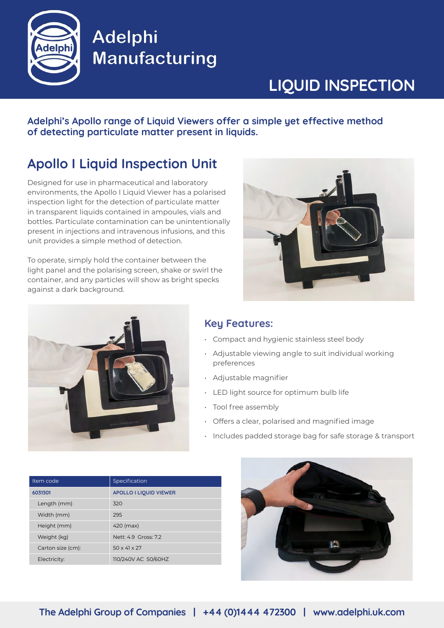

# Adelphi Manufacturing

# **LIQUID INSPECTION**

Adelphi's Apollo range of Liquid Viewers offer a simple yet effective method **of detecting particulate matter present in liquids.**

### **Apollo I Liquid Inspection Unit**

Designed for use in pharmaceutical and laboratory environments, the Apollo I Liquid Viewer has a polarised inspection light for the detection of particulate matter in transparent liquids contained in ampoules, vials and bottles. Particulate contamination can be unintentionally present in injections and intravenous infusions, and this unit provides a simple method of detection.

To operate, simply hold the container between the light panel and the polarising screen, shake or swirl the container, and any particles will show as bright specks against a dark background.





#### **Key Features:**

- Compact and hygienic stainless steel body
- Adjustable viewing angle to suit individual working preferences
- • Adjustable magnifier
- LED light source for optimum bulb life
- Tool free assembly
- • Offers a clear, polarised and magnified image
- Includes padded storage bag for safe storage & transport

| Item code         | Specification                 |
|-------------------|-------------------------------|
| 6031301           | <b>APOLLO I LIQUID VIEWER</b> |
| Length (mm)       | 320                           |
| Width (mm)        | 295                           |
| Height (mm)       | 420 (max)                     |
| Weight (kg)       | Nett: 4.9 Gross: 7.2          |
| Carton size (cm): | $50 \times 41 \times 27$      |
| Electricity:      | 110/240V AC 50/60HZ           |

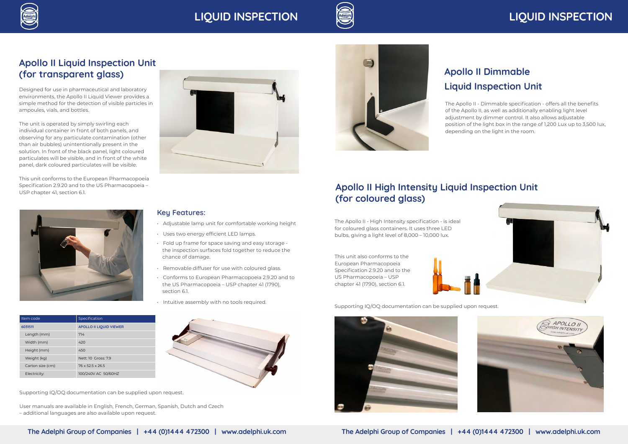



### **Apollo II Liquid Inspection Unit (for transparent glass)**

Designed for use in pharmaceutical and laboratory environments, the Apollo II Liquid Viewer provides a simple method for the detection of visible particles in ampoules, vials, and bottles.

The unit is operated by simply swirling each individual container in front of both panels, and observing for any particulate contamination (other than air bubbles) unintentionally present in the solution. In front of the black panel, light coloured particulates will be visible, and in front of the white panel, dark coloured particulates will be visible.

This unit conforms to the European Pharmacopoeia Specification 2.9.20 and to the US Pharmacopoeia – USP chapter 41, section 6.1.



| Item code         | Specification                  |
|-------------------|--------------------------------|
| 6031511           | <b>APOLLO II LIQUID VIEWER</b> |
| Length (mm)       | 714                            |
| Width (mm)        | 420                            |
| Height (mm)       | 450                            |
| Weight (kg)       | Nett: 10 Gross: 79             |
| Carton size (cm): | 76 x 52.5 x 26.5               |
| Electricity:      | 100/240V AC 50/60HZ            |

#### **Key Features:**

- Adjustable lamp unit for comfortable working height
- Uses two energy efficient LED lamps.
- Fold up frame for space saving and easy storage the inspection surfaces fold together to reduce the chance of damage.
- Removable diffuser for use with coloured glass.
- Conforms to European Pharmacopoeia 2.9.20 and to the US Pharmacopoeia - USP chapter 41 (1790), section 6.1.
- Intuitive assembly with no tools required.





## **LIQUID INSPECTION LIQUID INSPECTION**

### **Apollo II High Intensity Liquid Inspection Unit (for coloured glass)**

The Apollo II - High Intensity specification - is ideal for coloured glass containers. It uses three LED bulbs, giving a light level of 8,000 – 10,000 lux.

Supporting IQ/OQ documentation can be supplied upon request.

User manuals are available in English, French, German, Spanish, Dutch and Czech – additional languages are also available upon request.



Supporting IQ/OQ documentation can be supplied upon request.



## **Apollo II Dimmable Liquid Inspection Unit**

This unit also conforms to the European Pharmacopoeia Specification 2.9.20 and to the US Pharmacopoeia - USP chapter 41 (1790), section 6.1.



The Apollo II - Dimmable specification - offers all the benefits of the Apollo II, as well as additionally enabling light level adjustment by dimmer control. It also allows adjustable position of the light box in the range of 1,200 Lux up to 3,500 lux, depending on the light in the room.